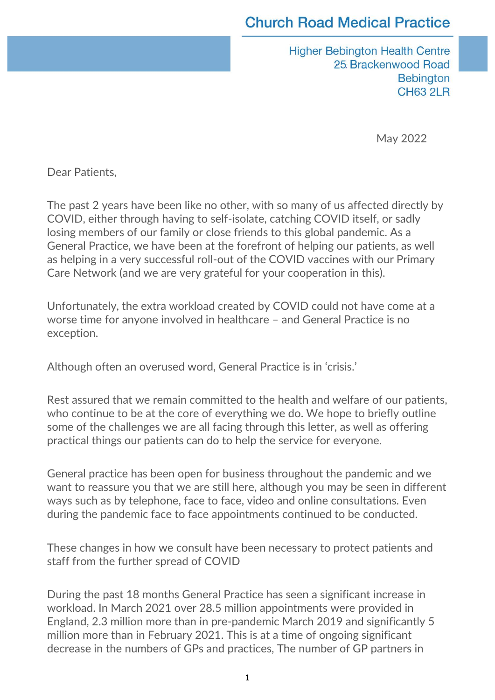#### **Church Road Medical Practice**

**Higher Bebington Health Centre** 25. Brackenwood Road **Bebington CH63 2LR** 

May 2022

Dear Patients,

The past 2 years have been like no other, with so many of us affected directly by COVID, either through having to self-isolate, catching COVID itself, or sadly losing members of our family or close friends to this global pandemic. As a General Practice, we have been at the forefront of helping our patients, as well as helping in a very successful roll-out of the COVID vaccines with our Primary Care Network (and we are very grateful for your cooperation in this).

Unfortunately, the extra workload created by COVID could not have come at a worse time for anyone involved in healthcare – and General Practice is no exception.

Although often an overused word, General Practice is in 'crisis.'

Rest assured that we remain committed to the health and welfare of our patients, who continue to be at the core of everything we do. We hope to briefly outline some of the challenges we are all facing through this letter, as well as offering practical things our patients can do to help the service for everyone.

General practice has been open for business throughout the pandemic and we want to reassure you that we are still here, although you may be seen in different ways such as by telephone, face to face, video and online consultations. Even during the pandemic face to face appointments continued to be conducted.

These changes in how we consult have been necessary to protect patients and staff from the further spread of COVID

During the past 18 months General Practice has seen a significant increase in workload. In March 2021 over 28.5 million appointments were provided in England, 2.3 million more than in pre-pandemic March 2019 and significantly 5 million more than in February 2021. This is at a time of ongoing significant decrease in the numbers of GPs and practices, The number of GP partners in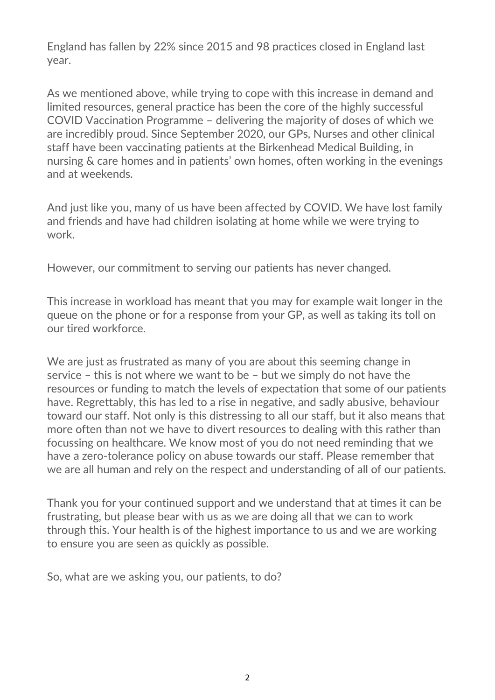England has fallen by 22% since 2015 and 98 practices closed in England last year.

As we mentioned above, while trying to cope with this increase in demand and limited resources, general practice has been the core of the highly successful COVID Vaccination Programme – delivering the majority of doses of which we are incredibly proud. Since September 2020, our GPs, Nurses and other clinical staff have been vaccinating patients at the Birkenhead Medical Building, in nursing & care homes and in patients' own homes, often working in the evenings and at weekends.

And just like you, many of us have been affected by COVID. We have lost family and friends and have had children isolating at home while we were trying to work.

However, our commitment to serving our patients has never changed.

This increase in workload has meant that you may for example wait longer in the queue on the phone or for a response from your GP, as well as taking its toll on our tired workforce.

We are just as frustrated as many of you are about this seeming change in service – this is not where we want to be – but we simply do not have the resources or funding to match the levels of expectation that some of our patients have. Regrettably, this has led to a rise in negative, and sadly abusive, behaviour toward our staff. Not only is this distressing to all our staff, but it also means that more often than not we have to divert resources to dealing with this rather than focussing on healthcare. We know most of you do not need reminding that we have a zero-tolerance policy on abuse towards our staff. Please remember that we are all human and rely on the respect and understanding of all of our patients.

Thank you for your continued support and we understand that at times it can be frustrating, but please bear with us as we are doing all that we can to work through this. Your health is of the highest importance to us and we are working to ensure you are seen as quickly as possible.

So, what are we asking you, our patients, to do?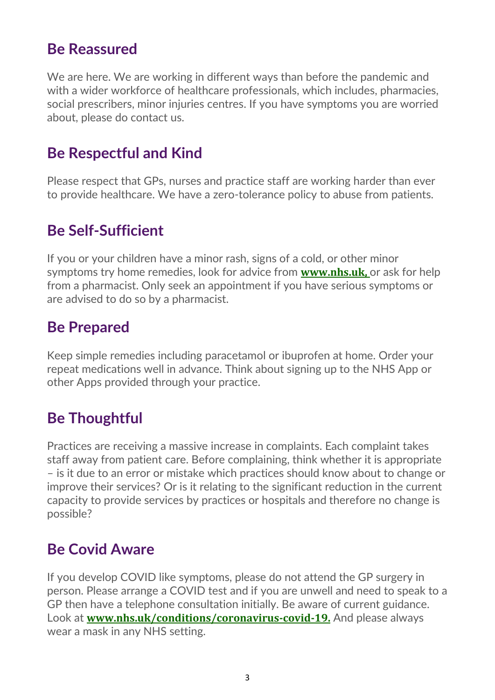#### **Be Reassured**

We are here. We are working in different ways than before the pandemic and with a wider workforce of healthcare professionals, which includes, pharmacies, social prescribers, minor injuries centres. If you have symptoms you are worried about, please do contact us.

## **Be Respectful and Kind**

Please respect that GPs, nurses and practice staff are working harder than ever to provide healthcare. We have a zero-tolerance policy to abuse from patients.

## **Be Self-Sufficient**

If you or your children have a minor rash, signs of a cold, or other minor symptoms try home remedies, look for advice from **[www.nhs.uk,](http://www.nhs.uk/)** or ask for help from a pharmacist. Only seek an appointment if you have serious symptoms or are advised to do so by a pharmacist.

### **Be Prepared**

Keep simple remedies including paracetamol or ibuprofen at home. Order your repeat medications well in advance. Think about signing up to the NHS App or other Apps provided through your practice.

# **Be Thoughtful**

Practices are receiving a massive increase in complaints. Each complaint takes staff away from patient care. Before complaining, think whether it is appropriate – is it due to an error or mistake which practices should know about to change or improve their services? Or is it relating to the significant reduction in the current capacity to provide services by practices or hospitals and therefore no change is possible?

# **Be Covid Aware**

If you develop COVID like symptoms, please do not attend the GP surgery in person. Please arrange a COVID test and if you are unwell and need to speak to a GP then have a telephone consultation initially. Be aware of current guidance. Look at **[www.nhs.uk/conditions/coronavirus-covid-19.](http://www.nhs.uk/conditions/coronavirus-covid-19)** And please always wear a mask in any NHS setting.